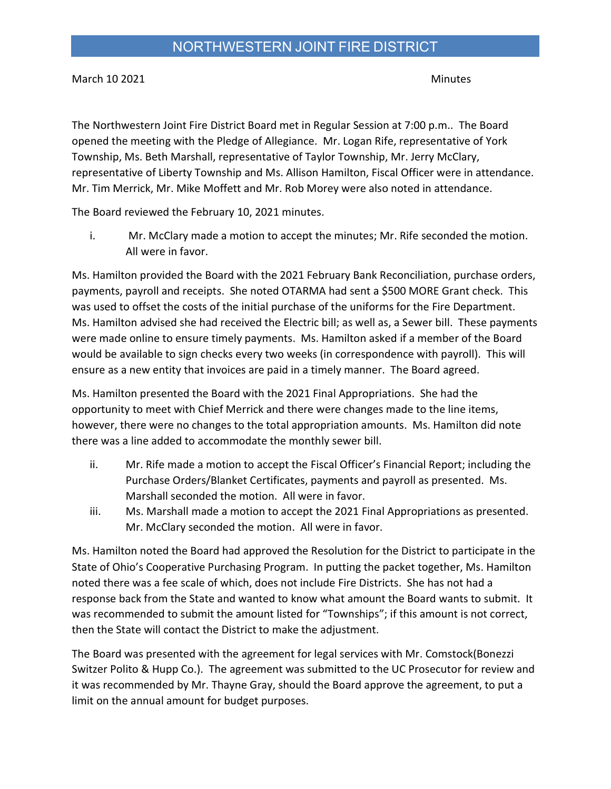March 10 2021 **March 10 2021** 

The Northwestern Joint Fire District Board met in Regular Session at 7:00 p.m.. The Board opened the meeting with the Pledge of Allegiance. Mr. Logan Rife, representative of York Township, Ms. Beth Marshall, representative of Taylor Township, Mr. Jerry McClary, representative of Liberty Township and Ms. Allison Hamilton, Fiscal Officer were in attendance. Mr. Tim Merrick, Mr. Mike Moffett and Mr. Rob Morey were also noted in attendance.

The Board reviewed the February 10, 2021 minutes.

i. Mr. McClary made a motion to accept the minutes; Mr. Rife seconded the motion. All were in favor.

Ms. Hamilton provided the Board with the 2021 February Bank Reconciliation, purchase orders, payments, payroll and receipts. She noted OTARMA had sent a \$500 MORE Grant check. This was used to offset the costs of the initial purchase of the uniforms for the Fire Department. Ms. Hamilton advised she had received the Electric bill; as well as, a Sewer bill. These payments were made online to ensure timely payments. Ms. Hamilton asked if a member of the Board would be available to sign checks every two weeks (in correspondence with payroll). This will ensure as a new entity that invoices are paid in a timely manner. The Board agreed.

Ms. Hamilton presented the Board with the 2021 Final Appropriations. She had the opportunity to meet with Chief Merrick and there were changes made to the line items, however, there were no changes to the total appropriation amounts. Ms. Hamilton did note there was a line added to accommodate the monthly sewer bill.

- ii. Mr. Rife made a motion to accept the Fiscal Officer's Financial Report; including the Purchase Orders/Blanket Certificates, payments and payroll as presented. Ms. Marshall seconded the motion. All were in favor.
- iii. Ms. Marshall made a motion to accept the 2021 Final Appropriations as presented. Mr. McClary seconded the motion. All were in favor.

Ms. Hamilton noted the Board had approved the Resolution for the District to participate in the State of Ohio's Cooperative Purchasing Program. In putting the packet together, Ms. Hamilton noted there was a fee scale of which, does not include Fire Districts. She has not had a response back from the State and wanted to know what amount the Board wants to submit. It was recommended to submit the amount listed for "Townships"; if this amount is not correct, then the State will contact the District to make the adjustment.

The Board was presented with the agreement for legal services with Mr. Comstock(Bonezzi Switzer Polito & Hupp Co.). The agreement was submitted to the UC Prosecutor for review and it was recommended by Mr. Thayne Gray, should the Board approve the agreement, to put a limit on the annual amount for budget purposes.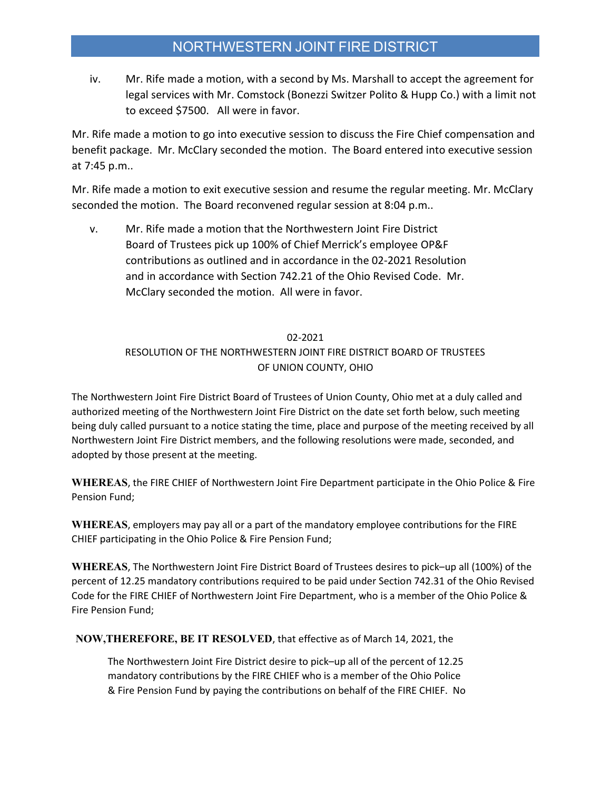## NORTHWESTERN JOINT FIRE DISTRICT

iv. Mr. Rife made a motion, with a second by Ms. Marshall to accept the agreement for legal services with Mr. Comstock (Bonezzi Switzer Polito & Hupp Co.) with a limit not to exceed \$7500. All were in favor.

Mr. Rife made a motion to go into executive session to discuss the Fire Chief compensation and benefit package. Mr. McClary seconded the motion. The Board entered into executive session at 7:45 p.m..

Mr. Rife made a motion to exit executive session and resume the regular meeting. Mr. McClary seconded the motion. The Board reconvened regular session at 8:04 p.m..

v. Mr. Rife made a motion that the Northwestern Joint Fire District Board of Trustees pick up 100% of Chief Merrick's employee OP&F contributions as outlined and in accordance in the 02-2021 Resolution and in accordance with Section 742.21 of the Ohio Revised Code. Mr. McClary seconded the motion. All were in favor.

## 02-2021 RESOLUTION OF THE NORTHWESTERN JOINT FIRE DISTRICT BOARD OF TRUSTEES OF UNION COUNTY, OHIO

The Northwestern Joint Fire District Board of Trustees of Union County, Ohio met at a duly called and authorized meeting of the Northwestern Joint Fire District on the date set forth below, such meeting being duly called pursuant to a notice stating the time, place and purpose of the meeting received by all Northwestern Joint Fire District members, and the following resolutions were made, seconded, and adopted by those present at the meeting.

WHEREAS, the FIRE CHIEF of Northwestern Joint Fire Department participate in the Ohio Police & Fire Pension Fund;

WHEREAS, employers may pay all or a part of the mandatory employee contributions for the FIRE CHIEF participating in the Ohio Police & Fire Pension Fund;

WHEREAS, The Northwestern Joint Fire District Board of Trustees desires to pick–up all (100%) of the percent of 12.25 mandatory contributions required to be paid under Section 742.31 of the Ohio Revised Code for the FIRE CHIEF of Northwestern Joint Fire Department, who is a member of the Ohio Police & Fire Pension Fund;

NOW,THEREFORE, BE IT RESOLVED, that effective as of March 14, 2021, the

The Northwestern Joint Fire District desire to pick–up all of the percent of 12.25 mandatory contributions by the FIRE CHIEF who is a member of the Ohio Police & Fire Pension Fund by paying the contributions on behalf of the FIRE CHIEF. No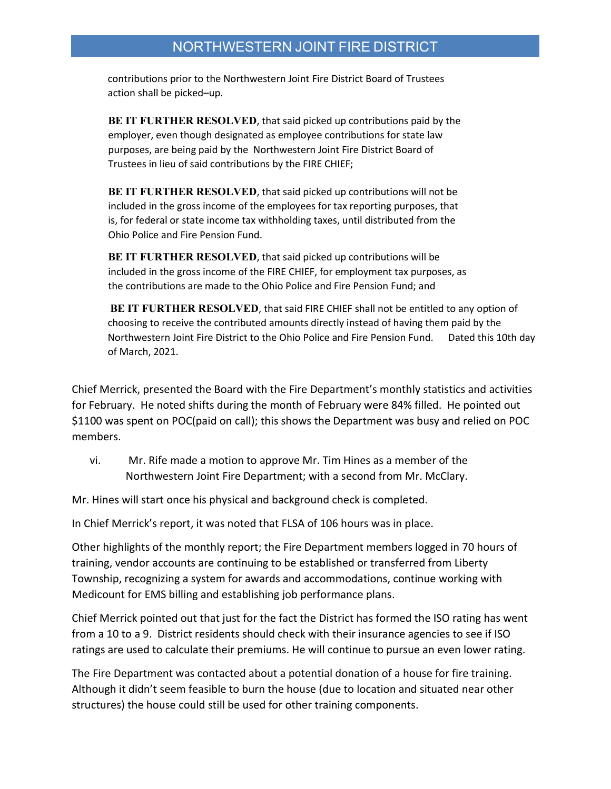contributions prior to the Northwestern Joint Fire District Board of Trustees action shall be picked–up.

BE IT FURTHER RESOLVED, that said picked up contributions paid by the employer, even though designated as employee contributions for state law purposes, are being paid by the Northwestern Joint Fire District Board of Trustees in lieu of said contributions by the FIRE CHIEF;

BE IT FURTHER RESOLVED, that said picked up contributions will not be included in the gross income of the employees for tax reporting purposes, that is, for federal or state income tax withholding taxes, until distributed from the Ohio Police and Fire Pension Fund.

BE IT FURTHER RESOLVED, that said picked up contributions will be included in the gross income of the FIRE CHIEF, for employment tax purposes, as the contributions are made to the Ohio Police and Fire Pension Fund; and

BE IT FURTHER RESOLVED, that said FIRE CHIEF shall not be entitled to any option of choosing to receive the contributed amounts directly instead of having them paid by the Northwestern Joint Fire District to the Ohio Police and Fire Pension Fund. Dated this 10th day of March, 2021.

Chief Merrick, presented the Board with the Fire Department's monthly statistics and activities for February. He noted shifts during the month of February were 84% filled. He pointed out \$1100 was spent on POC(paid on call); this shows the Department was busy and relied on POC members.

vi. Mr. Rife made a motion to approve Mr. Tim Hines as a member of the Northwestern Joint Fire Department; with a second from Mr. McClary.

Mr. Hines will start once his physical and background check is completed.

In Chief Merrick's report, it was noted that FLSA of 106 hours was in place.

Other highlights of the monthly report; the Fire Department members logged in 70 hours of training, vendor accounts are continuing to be established or transferred from Liberty Township, recognizing a system for awards and accommodations, continue working with Medicount for EMS billing and establishing job performance plans.

Chief Merrick pointed out that just for the fact the District has formed the ISO rating has went from a 10 to a 9. District residents should check with their insurance agencies to see if ISO ratings are used to calculate their premiums. He will continue to pursue an even lower rating.

The Fire Department was contacted about a potential donation of a house for fire training. Although it didn't seem feasible to burn the house (due to location and situated near other structures) the house could still be used for other training components.